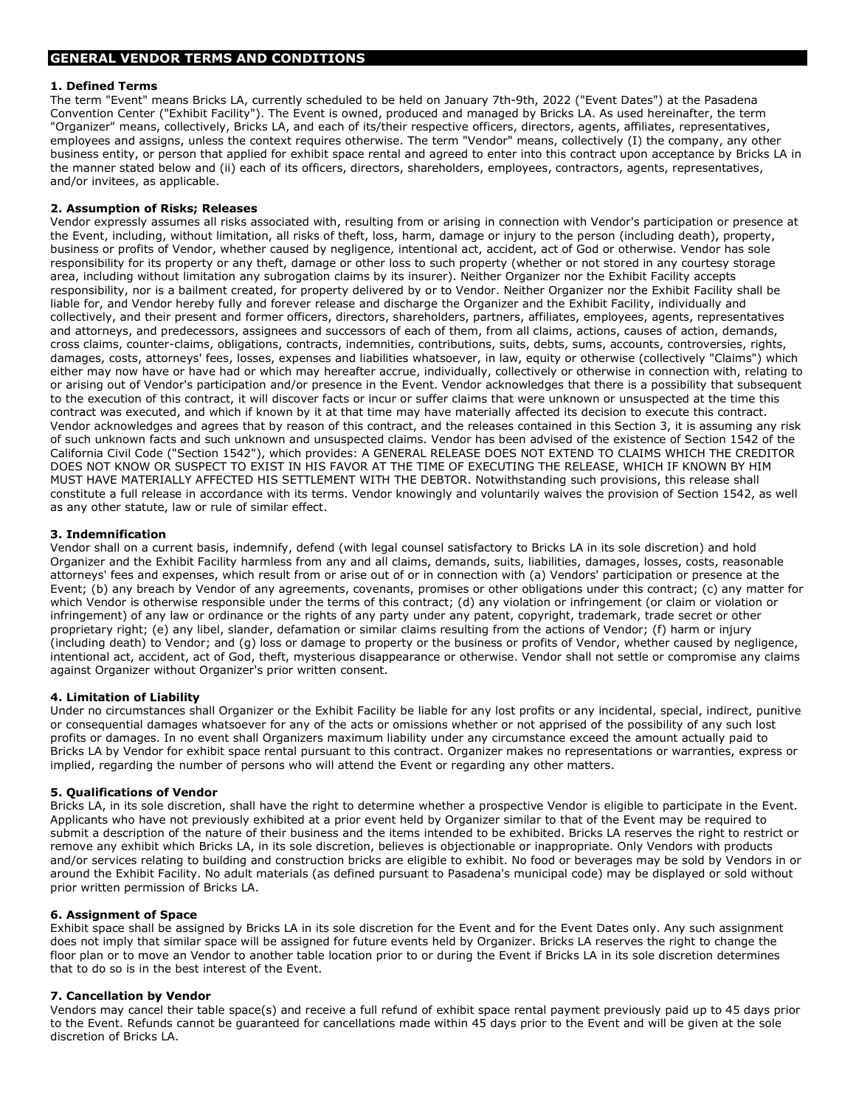## 1. Defined Terms

The term "Event" means Bricks LA, currently scheduled to be held on January 7th-9th, 2022 ("Event Dates") at the Pasadena Convention Center ("Exhibit Facility"). The Event is owned, produced and managed by Bricks LA. As used hereinafter, the term "Organizer" means, collectively, Bricks LA, and each of its/their respective officers, directors, agents, affiliates, representatives, employees and assigns, unless the context requires otherwise. The term "Vendor" means, collectively (I) the company, any other business entity, or person that applied for exhibit space rental and agreed to enter into this contract upon acceptance by Bricks LA in the manner stated below and (ii) each of its officers, directors, shareholders, employees, contractors, agents, representatives, and/or invitees, as applicable.

## 2. Assumption of Risks; Releases

Vendor expressly assumes all risks associated with, resulting from or arising in connection with Vendor's participation or presence at the Event, including, without limitation, all risks of theft, loss, harm, damage or injury to the person (including death), property, business or profits of Vendor, whether caused by negligence, intentional act, accident, act of God or otherwise. Vendor has sole responsibility for its property or any theft, damage or other loss to such property (whether or not stored in any courtesy storage area, including without limitation any subrogation claims by its insurer). Neither Organizer nor the Exhibit Facility accepts responsibility, nor is a bailment created, for property delivered by or to Vendor. Neither Organizer nor the Exhibit Facility shall be liable for, and Vendor hereby fully and forever release and discharge the Organizer and the Exhibit Facility, individually and collectively, and their present and former officers, directors, shareholders, partners, affiliates, employees, agents, representatives and attorneys, and predecessors, assignees and successors of each of them, from all claims, actions, causes of action, demands, cross claims, counter-claims, obligations, contracts, indemnities, contributions, suits, debts, sums, accounts, controversies, rights, damages, costs, attorneys' fees, losses, expenses and liabilities whatsoever, in law, equity or otherwise (collectively "Claims") which either may now have or have had or which may hereafter accrue, individually, collectively or otherwise in connection with, relating to or arising out of Vendor's participation and/or presence in the Event. Vendor acknowledges that there is a possibility that subsequent to the execution of this contract, it will discover facts or incur or suffer claims that were unknown or unsuspected at the time this contract was executed, and which if known by it at that time may have materially affected its decision to execute this contract. Vendor acknowledges and agrees that by reason of this contract, and the releases contained in this Section 3, it is assuming any risk of such unknown facts and such unknown and unsuspected claims. Vendor has been advised of the existence of Section 1542 of the California Civil Code ("Section 1542"), which provides: A GENERAL RELEASE DOES NOT EXTEND TO CLAIMS WHICH THE CREDITOR DOES NOT KNOW OR SUSPECT TO EXIST IN HIS FAVOR AT THE TIME OF EXECUTING THE RELEASE, WHICH IF KNOWN BY HIM MUST HAVE MATERIALLY AFFECTED HIS SETTLEMENT WITH THE DEBTOR. Notwithstanding such provisions, this release shall constitute a full release in accordance with its terms. Vendor knowingly and voluntarily waives the provision of Section 1542, as well as any other statute, law or rule of similar effect.

## 3. Indemnification

Vendor shall on a current basis, indemnify, defend (with legal counsel satisfactory to Bricks LA in its sole discretion) and hold Organizer and the Exhibit Facility harmless from any and all claims, demands, suits, liabilities, damages, losses, costs, reasonable attorneys' fees and expenses, which result from or arise out of or in connection with (a) Vendors' participation or presence at the Event; (b) any breach by Vendor of any agreements, covenants, promises or other obligations under this contract; (c) any matter for which Vendor is otherwise responsible under the terms of this contract; (d) any violation or infringement (or claim or violation or infringement) of any law or ordinance or the rights of any party under any patent, copyright, trademark, trade secret or other proprietary right; (e) any libel, slander, defamation or similar claims resulting from the actions of Vendor; (f) harm or injury (including death) to Vendor; and (g) loss or damage to property or the business or profits of Vendor, whether caused by negligence, intentional act, accident, act of God, theft, mysterious disappearance or otherwise. Vendor shall not settle or compromise any claims against Organizer without Organizer's prior written consent.

#### 4. Limitation of Liability

Under no circumstances shall Organizer or the Exhibit Facility be liable for any lost profits or any incidental, special, indirect, punitive or consequential damages whatsoever for any of the acts or omissions whether or not apprised of the possibility of any such lost profits or damages. In no event shall Organizers maximum liability under any circumstance exceed the amount actually paid to Bricks LA by Vendor for exhibit space rental pursuant to this contract. Organizer makes no representations or warranties, express or implied, regarding the number of persons who will attend the Event or regarding any other matters.

# 5. Qualifications of Vendor

Bricks LA, in its sole discretion, shall have the right to determine whether a prospective Vendor is eligible to participate in the Event. Applicants who have not previously exhibited at a prior event held by Organizer similar to that of the Event may be required to submit a description of the nature of their business and the items intended to be exhibited. Bricks LA reserves the right to restrict or remove any exhibit which Bricks LA, in its sole discretion, believes is objectionable or inappropriate. Only Vendors with products and/or services relating to building and construction bricks are eligible to exhibit. No food or beverages may be sold by Vendors in or around the Exhibit Facility. No adult materials (as defined pursuant to Pasadena's municipal code) may be displayed or sold without prior written permission of Bricks LA.

#### 6. Assignment of Space

Exhibit space shall be assigned by Bricks LA in its sole discretion for the Event and for the Event Dates only. Any such assignment does not imply that similar space will be assigned for future events held by Organizer. Bricks LA reserves the right to change the floor plan or to move an Vendor to another table location prior to or during the Event if Bricks LA in its sole discretion determines that to do so is in the best interest of the Event.

# 7. Cancellation by Vendor

Vendors may cancel their table space(s) and receive a full refund of exhibit space rental payment previously paid up to 45 days prior to the Event. Refunds cannot be guaranteed for cancellations made within 45 days prior to the Event and will be given at the sole discretion of Bricks LA.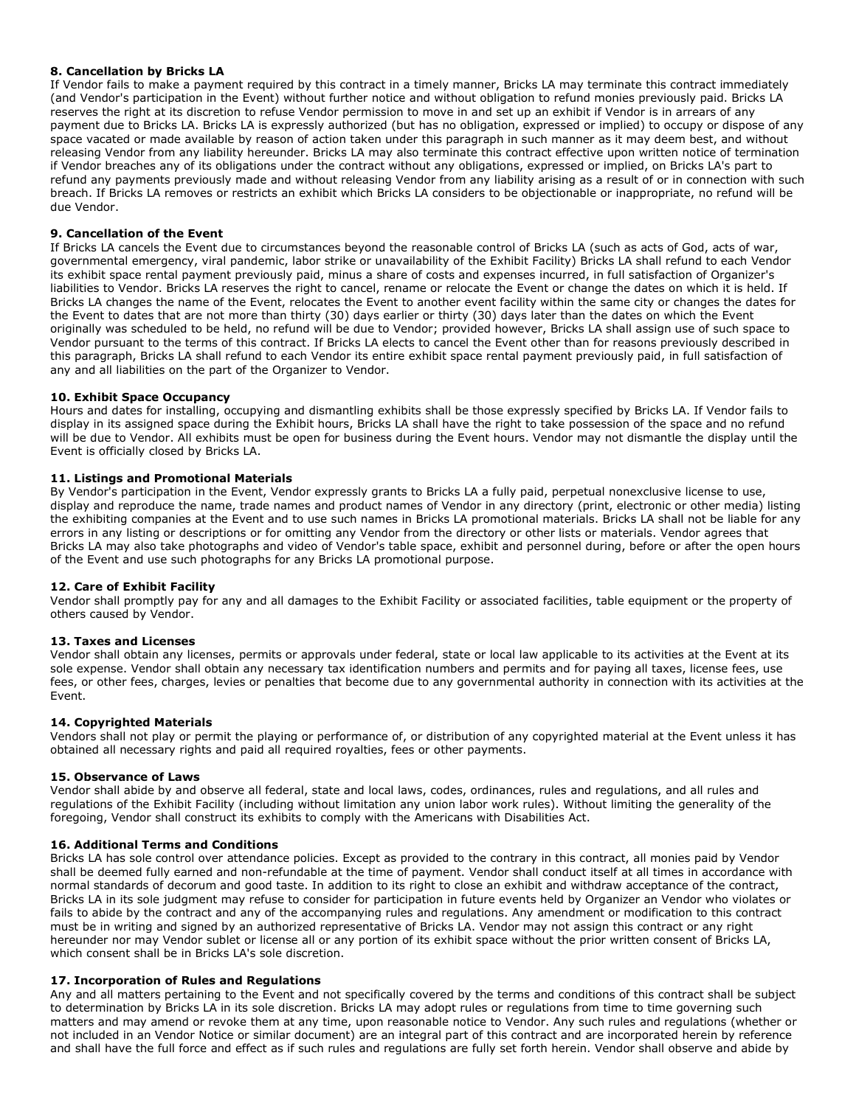## 8. Cancellation by Bricks LA

If Vendor fails to make a payment required by this contract in a timely manner, Bricks LA may terminate this contract immediately (and Vendor's participation in the Event) without further notice and without obligation to refund monies previously paid. Bricks LA reserves the right at its discretion to refuse Vendor permission to move in and set up an exhibit if Vendor is in arrears of any payment due to Bricks LA. Bricks LA is expressly authorized (but has no obligation, expressed or implied) to occupy or dispose of any space vacated or made available by reason of action taken under this paragraph in such manner as it may deem best, and without releasing Vendor from any liability hereunder. Bricks LA may also terminate this contract effective upon written notice of termination if Vendor breaches any of its obligations under the contract without any obligations, expressed or implied, on Bricks LA's part to refund any payments previously made and without releasing Vendor from any liability arising as a result of or in connection with such breach. If Bricks LA removes or restricts an exhibit which Bricks LA considers to be objectionable or inappropriate, no refund will be due Vendor.

### 9. Cancellation of the Event

If Bricks LA cancels the Event due to circumstances beyond the reasonable control of Bricks LA (such as acts of God, acts of war, governmental emergency, viral pandemic, labor strike or unavailability of the Exhibit Facility) Bricks LA shall refund to each Vendor its exhibit space rental payment previously paid, minus a share of costs and expenses incurred, in full satisfaction of Organizer's liabilities to Vendor. Bricks LA reserves the right to cancel, rename or relocate the Event or change the dates on which it is held. If Bricks LA changes the name of the Event, relocates the Event to another event facility within the same city or changes the dates for the Event to dates that are not more than thirty (30) days earlier or thirty (30) days later than the dates on which the Event originally was scheduled to be held, no refund will be due to Vendor; provided however, Bricks LA shall assign use of such space to Vendor pursuant to the terms of this contract. If Bricks LA elects to cancel the Event other than for reasons previously described in this paragraph, Bricks LA shall refund to each Vendor its entire exhibit space rental payment previously paid, in full satisfaction of any and all liabilities on the part of the Organizer to Vendor.

#### 10. Exhibit Space Occupancy

Hours and dates for installing, occupying and dismantling exhibits shall be those expressly specified by Bricks LA. If Vendor fails to display in its assigned space during the Exhibit hours, Bricks LA shall have the right to take possession of the space and no refund will be due to Vendor. All exhibits must be open for business during the Event hours. Vendor may not dismantle the display until the Event is officially closed by Bricks LA.

## 11. Listings and Promotional Materials

By Vendor's participation in the Event, Vendor expressly grants to Bricks LA a fully paid, perpetual nonexclusive license to use, display and reproduce the name, trade names and product names of Vendor in any directory (print, electronic or other media) listing the exhibiting companies at the Event and to use such names in Bricks LA promotional materials. Bricks LA shall not be liable for any errors in any listing or descriptions or for omitting any Vendor from the directory or other lists or materials. Vendor agrees that Bricks LA may also take photographs and video of Vendor's table space, exhibit and personnel during, before or after the open hours of the Event and use such photographs for any Bricks LA promotional purpose.

#### 12. Care of Exhibit Facility

Vendor shall promptly pay for any and all damages to the Exhibit Facility or associated facilities, table equipment or the property of others caused by Vendor.

#### 13. Taxes and Licenses

Vendor shall obtain any licenses, permits or approvals under federal, state or local law applicable to its activities at the Event at its sole expense. Vendor shall obtain any necessary tax identification numbers and permits and for paying all taxes, license fees, use fees, or other fees, charges, levies or penalties that become due to any governmental authority in connection with its activities at the Event.

#### 14. Copyrighted Materials

Vendors shall not play or permit the playing or performance of, or distribution of any copyrighted material at the Event unless it has obtained all necessary rights and paid all required royalties, fees or other payments.

#### 15. Observance of Laws

Vendor shall abide by and observe all federal, state and local laws, codes, ordinances, rules and regulations, and all rules and regulations of the Exhibit Facility (including without limitation any union labor work rules). Without limiting the generality of the foregoing, Vendor shall construct its exhibits to comply with the Americans with Disabilities Act.

### 16. Additional Terms and Conditions

Bricks LA has sole control over attendance policies. Except as provided to the contrary in this contract, all monies paid by Vendor shall be deemed fully earned and non-refundable at the time of payment. Vendor shall conduct itself at all times in accordance with normal standards of decorum and good taste. In addition to its right to close an exhibit and withdraw acceptance of the contract, Bricks LA in its sole judgment may refuse to consider for participation in future events held by Organizer an Vendor who violates or fails to abide by the contract and any of the accompanying rules and regulations. Any amendment or modification to this contract must be in writing and signed by an authorized representative of Bricks LA. Vendor may not assign this contract or any right hereunder nor may Vendor sublet or license all or any portion of its exhibit space without the prior written consent of Bricks LA, which consent shall be in Bricks LA's sole discretion.

#### 17. Incorporation of Rules and Regulations

Any and all matters pertaining to the Event and not specifically covered by the terms and conditions of this contract shall be subject to determination by Bricks LA in its sole discretion. Bricks LA may adopt rules or regulations from time to time governing such matters and may amend or revoke them at any time, upon reasonable notice to Vendor. Any such rules and regulations (whether or not included in an Vendor Notice or similar document) are an integral part of this contract and are incorporated herein by reference and shall have the full force and effect as if such rules and regulations are fully set forth herein. Vendor shall observe and abide by